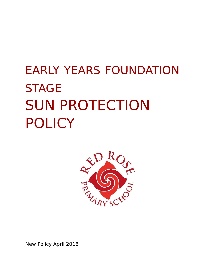# EARLY YEARS FOUNDATION **STAGE** SUN PROTECTION POLICY



New Policy April 2018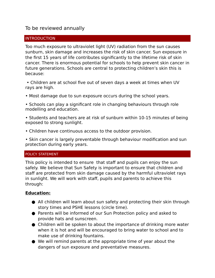## To be reviewed annually

#### **INTRODUCTION**

Too much exposure to ultraviolet light (UV) radiation from the sun causes sunburn, skin damage and increases the risk of skin cancer. Sun exposure in the first 15 years of life contributes significantly to the lifetime risk of skin cancer. There is enormous potential for schools to help prevent skin cancer in future generations. Schools are central to protecting children's skin this is because:

 • Children are at school five out of seven days a week at times when UV rays are high.

• Most damage due to sun exposure occurs during the school years.

• Schools can play a significant role in changing behaviours through role modelling and education.

- Students and teachers are at risk of sunburn within 10-15 minutes of being exposed to strong sunlight.
- Children have continuous access to the outdoor provision.

• Skin cancer is largely preventable through behaviour modification and sun protection during early years.

#### POLICY STATEMENT

This policy is intended to ensure that staff and pupils can enjoy the sun safely. We believe that Sun Safety is important to ensure that children and staff are protected from skin damage caused by the harmful ultraviolet rays in sunlight. We will work with staff, pupils and parents to achieve this through:

#### **Education:**

- All children will learn about sun safety and protecting their skin through story times and PSHE lessons (circle time).
- Parents will be informed of our Sun Protection policy and asked to provide hats and sunscreen.
- Children will be spoken to about the importance of drinking more water when it is hot and will be encouraged to bring water to school and to make use of drinking fountains.
- We will remind parents at the appropriate time of year about the dangers of sun exposure and preventative measures.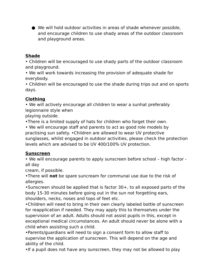● We will hold outdoor activities in areas of shade whenever possible, and encourage children to use shady areas of the outdoor classroom and playground areas.

## **Shade**

• Children will be encouraged to use shady parts of the outdoor classroom and playground.

• We will work towards increasing the provision of adequate shade for everybody.

• Children will be encouraged to use the shade during trips out and on sports days.

# **Clothing**

• We will actively encourage all children to wear a sunhat preferably legionnaire style when

playing outside.

•There is a limited supply of hats for children who forget their own.

• We will encourage staff and parents to act as good role models by practising sun safety. •Children are allowed to wear UV protective sunglasses, whilst engaged in outdoor activities, please check the protection levels which are advised to be UV 400/100% UV protection.

## **Sunscreen**

• We will encourage parents to apply sunscreen before school – high factor all day

cream, if possible.

•There will **not** be spare suncream for communal use due to the risk of allergies.

•Sunscreen should be applied that is factor 30+, to all exposed parts of the body 15-30 minutes before going out in the sun not forgetting ears, shoulders, necks, noses and tops of feet etc.

•Children will need to bring in their own clearly labeled bottle of sunscreen for reapplication if needed. They may apply this to themselves under the supervision of an adult. Adults should not assist pupils in this, except in exceptional medical circumstances. An adult should never be alone with a child when assisting such a child.

•Parents/guardians will need to sign a consent form to allow staff to supervise the application of sunscreen. This will depend on the age and ability of the child.

•If a pupil does not have any sunscreen, they may not be allowed to play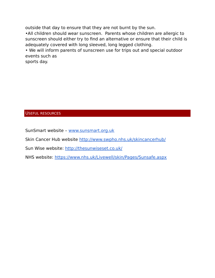outside that day to ensure that they are not burnt by the sun.

•All children should wear sunscreen. Parents whose children are allergic to sunscreen should either try to find an alternative or ensure that their child is adequately covered with long sleeved, long legged clothing.

• We will inform parents of sunscreen use for trips out and special outdoor events such as

sports day.

#### USEFUL RESOURCES

SunSmart website – [www.sunsmart.org.uk](http://www.sunsmart.org.uk/)

Skin Cancer Hub website<http://www.swpho.nhs.uk/skincancerhub/>

Sun Wise website:<http://thesunwiseset.co.uk/>

NHS website:<https://www.nhs.uk/Livewell/skin/Pages/Sunsafe.aspx>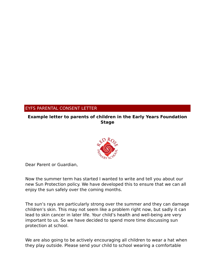## EYFS PARENTAL CONSENT LETTER

### **Example letter to parents of children in the Early Years Foundation Stage**



Dear Parent or Guardian,

Now the summer term has started I wanted to write and tell you about our new Sun Protection policy. We have developed this to ensure that we can all enjoy the sun safely over the coming months.

The sun's rays are particularly strong over the summer and they can damage children's skin. This may not seem like a problem right now, but sadly it can lead to skin cancer in later life. Your child's health and well-being are very important to us. So we have decided to spend more time discussing sun protection at school.

We are also going to be actively encouraging all children to wear a hat when they play outside. Please send your child to school wearing a comfortable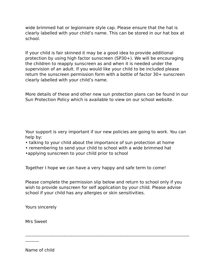wide brimmed hat or legionnaire style cap. Please ensure that the hat is clearly labelled with your child's name. This can be stored in our hat box at school.

If your child is fair skinned it may be a good idea to provide additional protection by using high factor sunscreen (SP30+). We will be encouraging the children to reapply sunscreen as and when it is needed under the supervision of an adult. If you would like your child to be included please return the sunscreen permission form with a bottle of factor 30+ sunscreen clearly labelled with your child's name.

More details of these and other new sun protection plans can be found in our Sun Protection Policy which is available to view on our school website.

Your support is very important if our new policies are going to work. You can help by:

- talking to your child about the importance of sun protection at home
- remembering to send your child to school with a wide brimmed hat
- •applying sunscreen to your child prior to school

Together I hope we can have a very happy and safe term to come!

Please complete the permission slip below and return to school only if you wish to provide sunscreen for self application by your child. Please advise school if your child has any allergies or skin sensitivities.

Yours sincerely

Mrs Sweet

------------------------------------------------------------------------------------------------------------

---------

Name of child